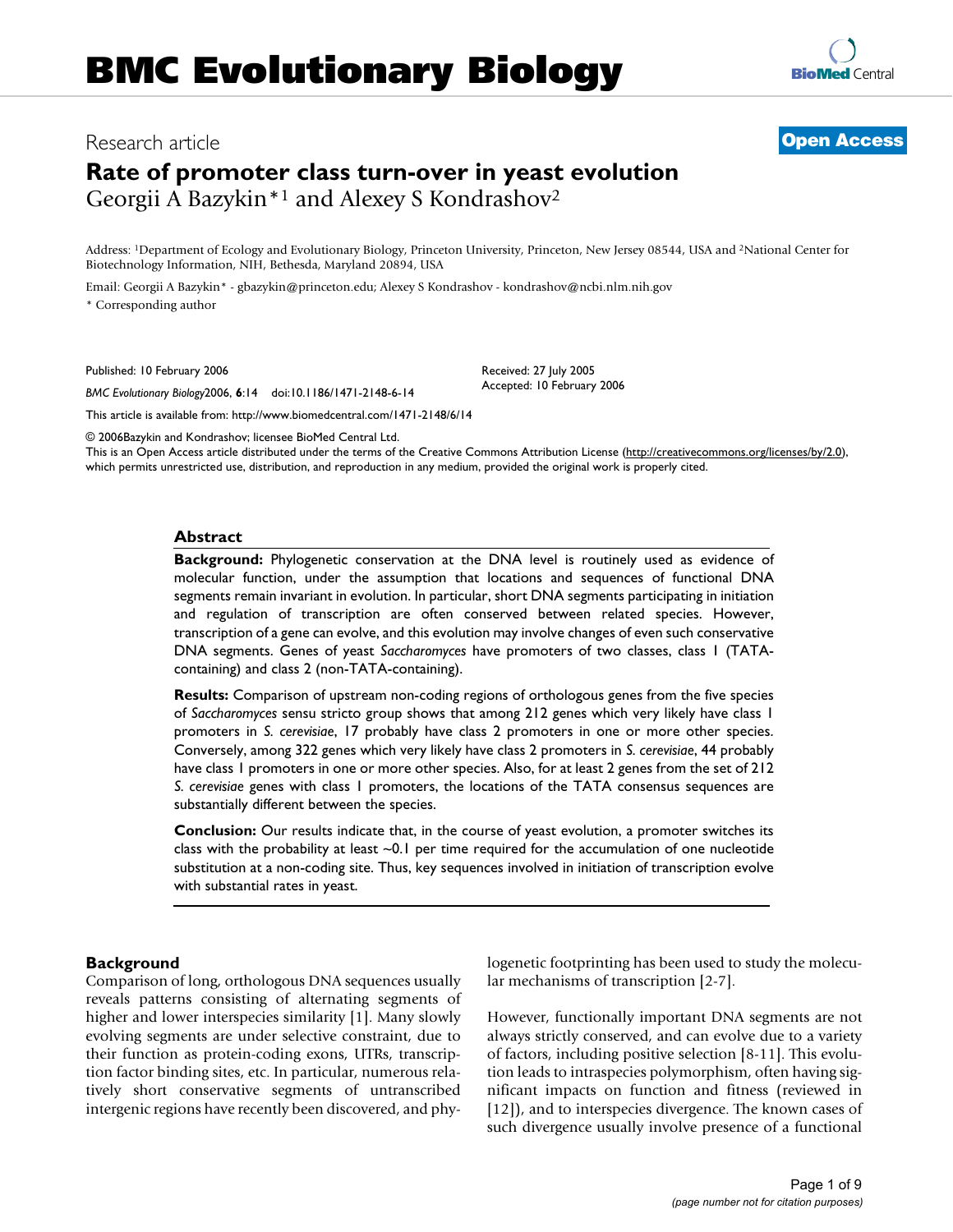# Research article **[Open Access](http://www.biomedcentral.com/info/about/charter/)**

# **Rate of promoter class turn-over in yeast evolution** Georgii A Bazykin\*1 and Alexey S Kondrashov2

Address: 1Department of Ecology and Evolutionary Biology, Princeton University, Princeton, New Jersey 08544, USA and 2National Center for Biotechnology Information, NIH, Bethesda, Maryland 20894, USA

Email: Georgii A Bazykin\* - gbazykin@princeton.edu; Alexey S Kondrashov - kondrashov@ncbi.nlm.nih.gov \* Corresponding author

Published: 10 February 2006

*BMC Evolutionary Biology*2006, **6**:14 doi:10.1186/1471-2148-6-14

[This article is available from: http://www.biomedcentral.com/1471-2148/6/14](http://www.biomedcentral.com/1471-2148/6/14)

© 2006Bazykin and Kondrashov; licensee BioMed Central Ltd.

This is an Open Access article distributed under the terms of the Creative Commons Attribution License [\(http://creativecommons.org/licenses/by/2.0\)](http://creativecommons.org/licenses/by/2.0), which permits unrestricted use, distribution, and reproduction in any medium, provided the original work is properly cited.

Received: 27 July 2005 Accepted: 10 February 2006

#### **Abstract**

**Background:** Phylogenetic conservation at the DNA level is routinely used as evidence of molecular function, under the assumption that locations and sequences of functional DNA segments remain invariant in evolution. In particular, short DNA segments participating in initiation and regulation of transcription are often conserved between related species. However, transcription of a gene can evolve, and this evolution may involve changes of even such conservative DNA segments. Genes of yeast *Saccharomyces* have promoters of two classes, class 1 (TATAcontaining) and class 2 (non-TATA-containing).

**Results:** Comparison of upstream non-coding regions of orthologous genes from the five species of *Saccharomyces* sensu stricto group shows that among 212 genes which very likely have class 1 promoters in *S. cerevisiae*, 17 probably have class 2 promoters in one or more other species. Conversely, among 322 genes which very likely have class 2 promoters in *S. cerevisiae*, 44 probably have class 1 promoters in one or more other species. Also, for at least 2 genes from the set of 212 *S. cerevisiae* genes with class 1 promoters, the locations of the TATA consensus sequences are substantially different between the species.

**Conclusion:** Our results indicate that, in the course of yeast evolution, a promoter switches its class with the probability at least  $\sim 0.1$  per time required for the accumulation of one nucleotide substitution at a non-coding site. Thus, key sequences involved in initiation of transcription evolve with substantial rates in yeast.

#### **Background**

Comparison of long, orthologous DNA sequences usually reveals patterns consisting of alternating segments of higher and lower interspecies similarity [1]. Many slowly evolving segments are under selective constraint, due to their function as protein-coding exons, UTRs, transcription factor binding sites, etc. In particular, numerous relatively short conservative segments of untranscribed intergenic regions have recently been discovered, and phylogenetic footprinting has been used to study the molecular mechanisms of transcription [2-7].

However, functionally important DNA segments are not always strictly conserved, and can evolve due to a variety of factors, including positive selection [8-11]. This evolution leads to intraspecies polymorphism, often having significant impacts on function and fitness (reviewed in [12]), and to interspecies divergence. The known cases of such divergence usually involve presence of a functional

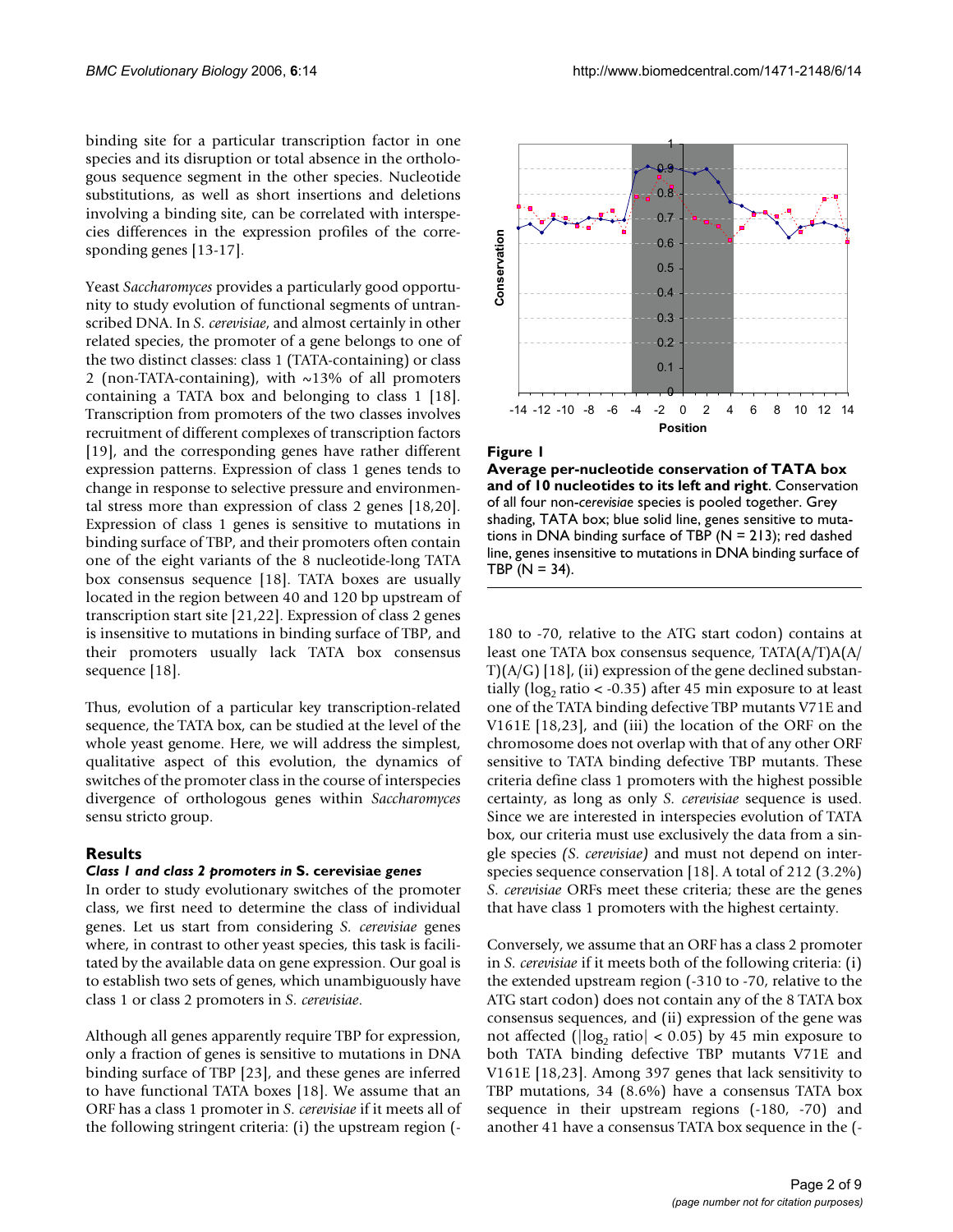binding site for a particular transcription factor in one species and its disruption or total absence in the orthologous sequence segment in the other species. Nucleotide substitutions, as well as short insertions and deletions involving a binding site, can be correlated with interspecies differences in the expression profiles of the corresponding genes [13-17].

Yeast *Saccharomyces* provides a particularly good opportunity to study evolution of functional segments of untranscribed DNA. In *S. cerevisiae*, and almost certainly in other related species, the promoter of a gene belongs to one of the two distinct classes: class 1 (TATA-containing) or class 2 (non-TATA-containing), with ~13% of all promoters containing a TATA box and belonging to class 1 [18]. Transcription from promoters of the two classes involves recruitment of different complexes of transcription factors [19], and the corresponding genes have rather different expression patterns. Expression of class 1 genes tends to change in response to selective pressure and environmental stress more than expression of class 2 genes [18,20]. Expression of class 1 genes is sensitive to mutations in binding surface of TBP, and their promoters often contain one of the eight variants of the 8 nucleotide-long TATA box consensus sequence [18]. TATA boxes are usually located in the region between 40 and 120 bp upstream of transcription start site [21,22]. Expression of class 2 genes is insensitive to mutations in binding surface of TBP, and their promoters usually lack TATA box consensus sequence [18].

Thus, evolution of a particular key transcription-related sequence, the TATA box, can be studied at the level of the whole yeast genome. Here, we will address the simplest, qualitative aspect of this evolution, the dynamics of switches of the promoter class in the course of interspecies divergence of orthologous genes within *Saccharomyces* sensu stricto group.

#### **Results**

### *Class 1 and class 2 promoters in* **S. cerevisiae** *genes*

In order to study evolutionary switches of the promoter class, we first need to determine the class of individual genes. Let us start from considering *S. cerevisiae* genes where, in contrast to other yeast species, this task is facilitated by the available data on gene expression. Our goal is to establish two sets of genes, which unambiguously have class 1 or class 2 promoters in *S. cerevisiae*.

Although all genes apparently require TBP for expression, only a fraction of genes is sensitive to mutations in DNA binding surface of TBP [23], and these genes are inferred to have functional TATA boxes [18]. We assume that an ORF has a class 1 promoter in *S. cerevisiae* if it meets all of the following stringent criteria: (i) the upstream region (-



#### Figure 1

**Average per-nucleotide conservation of TATA box and of 10 nucleotides to its left and right**. Conservation of all four non-*cerevisiae* species is pooled together. Grey shading, TATA box; blue solid line, genes sensitive to mutations in DNA binding surface of TBP ( $N = 213$ ); red dashed line, genes insensitive to mutations in DNA binding surface of TBP ( $N = 34$ ).

180 to -70, relative to the ATG start codon) contains at least one TATA box consensus sequence, TATA(A/T)A(A/  $T(A/G)$  [18], (ii) expression of the gene declined substantially (log<sub>2</sub> ratio  $\lt$  -0.35) after 45 min exposure to at least one of the TATA binding defective TBP mutants V71E and V161E [18,23], and (iii) the location of the ORF on the chromosome does not overlap with that of any other ORF sensitive to TATA binding defective TBP mutants. These criteria define class 1 promoters with the highest possible certainty, as long as only *S. cerevisiae* sequence is used. Since we are interested in interspecies evolution of TATA box, our criteria must use exclusively the data from a single species *(S. cerevisiae)* and must not depend on interspecies sequence conservation [18]. A total of 212 (3.2%) *S. cerevisiae* ORFs meet these criteria; these are the genes that have class 1 promoters with the highest certainty.

Conversely, we assume that an ORF has a class 2 promoter in *S. cerevisiae* if it meets both of the following criteria: (i) the extended upstream region (-310 to -70, relative to the ATG start codon) does not contain any of the 8 TATA box consensus sequences, and (ii) expression of the gene was not affected ( $|log_2$  ratio $|$  < 0.05) by 45 min exposure to both TATA binding defective TBP mutants V71E and V161E [18,23]. Among 397 genes that lack sensitivity to TBP mutations, 34 (8.6%) have a consensus TATA box sequence in their upstream regions (-180, -70) and another 41 have a consensus TATA box sequence in the (-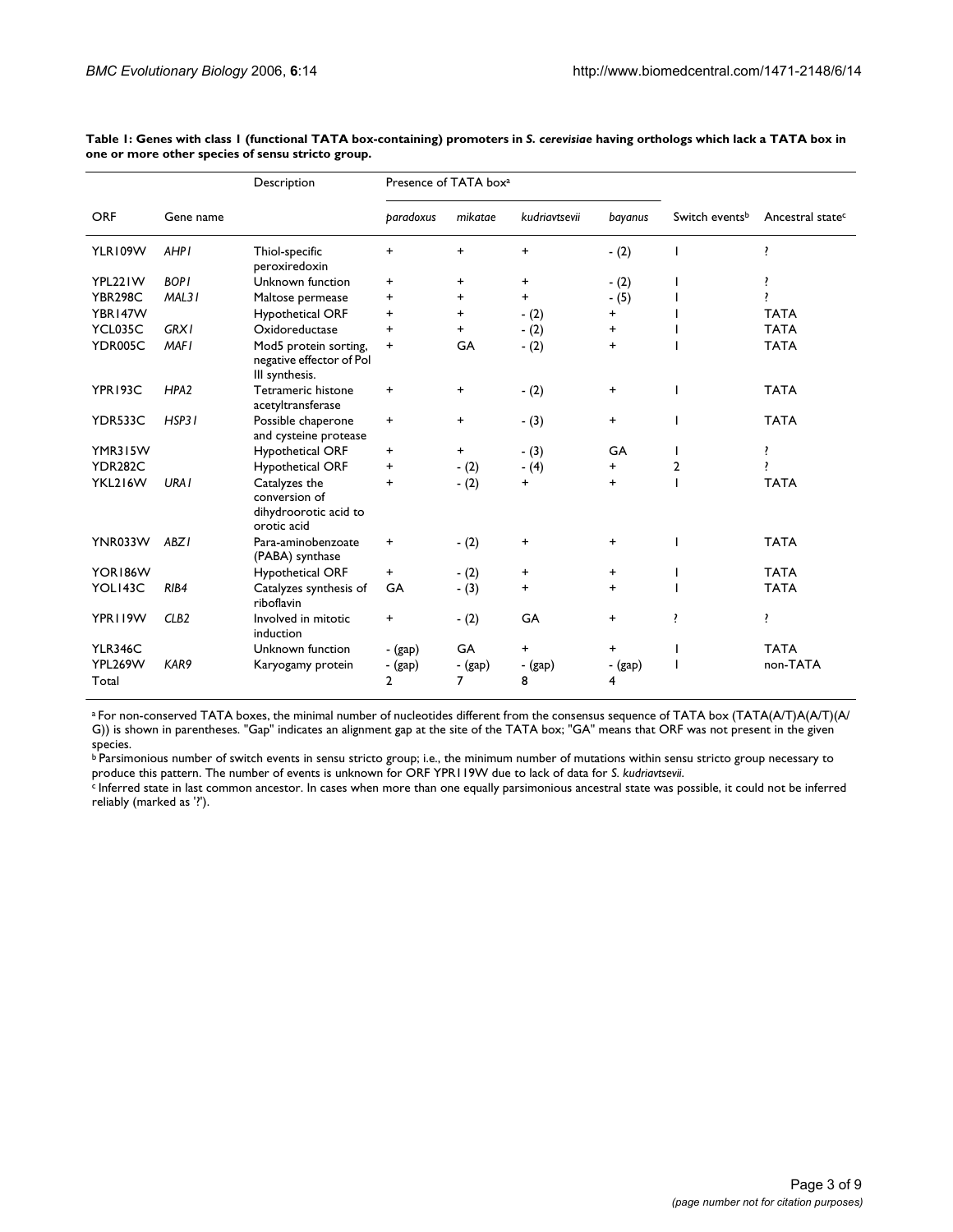|                  |                  | Description                                                            | Presence of TATA box <sup>a</sup> |              |               |              |                            |                              |
|------------------|------------------|------------------------------------------------------------------------|-----------------------------------|--------------|---------------|--------------|----------------------------|------------------------------|
| <b>ORF</b>       | Gene name        |                                                                        | paradoxus                         | mikatae      | kudriavtsevii | bayanus      | Switch events <sup>b</sup> | Ancestral state <sup>c</sup> |
| YLR109W          | <b>AHPI</b>      | Thiol-specific<br>peroxiredoxin                                        | $\ddot{}$                         | $\ddot{}$    | $\ddot{}$     | $- (2)$      |                            | ŗ                            |
| YPL221W          | <b>BOPI</b>      | Unknown function                                                       | $\ddot{}$                         | +            | $\ddot{}$     | $- (2)$      |                            | ŗ                            |
| <b>YBR298C</b>   | MAL31            | Maltose permease                                                       | +                                 | $\ddot{}$    | +             | $-(5)$       |                            | ,                            |
| YBR147W          |                  | <b>Hypothetical ORF</b>                                                | $\ddot{}$                         | $\ddot{}$    | $- (2)$       | +            |                            | <b>TATA</b>                  |
| YCL035C          | <b>GRX1</b>      | Oxidoreductase                                                         | $\ddot{}$                         | $\ddot{}$    | $- (2)$       | +            |                            | <b>TATA</b>                  |
| YDR005C          | <b>MAFI</b>      | Mod5 protein sorting,<br>negative effector of Pol<br>III synthesis.    | $\ddot{}$                         | GA           | $- (2)$       | $\ddot{}$    |                            | <b>TATA</b>                  |
| YPR193C          | HPA <sub>2</sub> | Tetrameric histone<br>acetyltransferase                                | $\ddot{}$                         | $\ddot{}$    | $-(2)$        | +            | ı                          | <b>TATA</b>                  |
| YDR533C          | HSP31            | Possible chaperone<br>and cysteine protease                            | $\ddot{}$                         | $\ddot{}$    | $-(3)$        | $\ddot{}$    | ı                          | <b>TATA</b>                  |
| YMR315W          |                  | Hypothetical ORF                                                       | +                                 | $\ddot{}$    | $- (3)$       | GA           | I.                         | ŗ                            |
| <b>YDR282C</b>   |                  | Hypothetical ORF                                                       | +                                 | $-(2)$       | $- (4)$       | +            | 2                          | ŗ                            |
| YKL216W          | URA <sub>I</sub> | Catalyzes the<br>conversion of<br>dihydroorotic acid to<br>orotic acid | $\ddot{}$                         | $-(2)$       | $+$           | $\ddot{}$    |                            | <b>TATA</b>                  |
| YNR033W          | ABZ <sub>I</sub> | Para-aminobenzoate<br>(PABA) synthase                                  | $\ddot{}$                         | $-(2)$       | $\ddot{}$     | +            | ı                          | <b>TATA</b>                  |
| YOR186W          |                  | Hypothetical ORF                                                       | $\ddot{}$                         | $-(2)$       | +             | +            |                            | <b>TATA</b>                  |
| YOLI43C          | RIB4             | Catalyzes synthesis of<br>riboflavin                                   | GA                                | $- (3)$      | $\ddot{}$     | $\ddot{}$    |                            | <b>TATA</b>                  |
| YPR119W          | CLB <sub>2</sub> | Involved in mitotic<br>induction                                       | +                                 | $-(2)$       | GA            | +            | ŗ                          | ŗ                            |
| <b>YLR346C</b>   |                  | Unknown function                                                       | - (gap)                           | GA           | $\ddot{}$     | +            |                            | <b>TATA</b>                  |
| YPL269W<br>Total | KAR9             | Karyogamy protein                                                      | - (gap)<br>$\overline{2}$         | - (gap)<br>7 | - (gap)<br>8  | - (gap)<br>4 |                            | non-TATA                     |

**Table 1: Genes with class 1 (functional TATA box-containing) promoters in** *S. cerevisiae* **having orthologs which lack a TATA box in one or more other species of sensu stricto group.**

 $^{\rm a}$  For non-conserved TATA boxes, the minimal number of nucleotides different from the consensus sequence of TATA box (TATA(A/T)A(A/T)(A/ G)) is shown in parentheses. "Gap" indicates an alignment gap at the site of the TATA box; "GA" means that ORF was not present in the given species.

b Parsimonious number of switch events in sensu stricto group; i.e., the minimum number of mutations within sensu stricto group necessary to produce this pattern. The number of events is unknown for ORF YPR119W due to lack of data for *S. kudriavtsevii*.

c Inferred state in last common ancestor. In cases when more than one equally parsimonious ancestral state was possible, it could not be inferred reliably (marked as '?').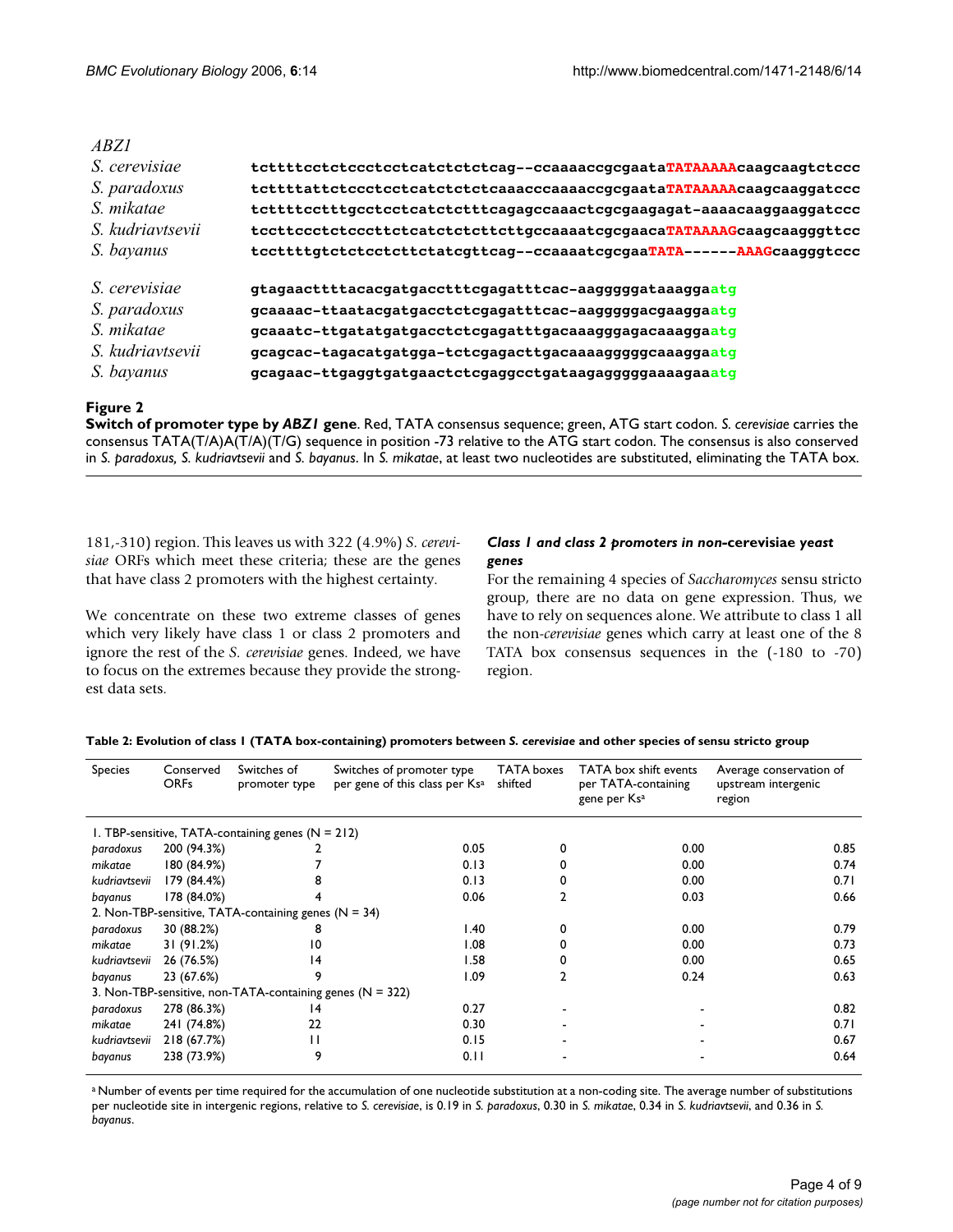| ABZ1                 |                                                                       |
|----------------------|-----------------------------------------------------------------------|
| S. cerevisiae        | tcttttcctctccctcctcatctctctcag--ccaaaaccgcgaataTATAAAAAcaagcaagtctccc |
| S. paradoxus         | tcttttattctccctcctcatctctctcaaacccaaaaccqcqaataTATAAAAAcaaqcaaqqatccc |
| S. mikatae           | tcttttcctttgcctcctcatctctttcagagccaaactcgcgaagagat-aaaacaaggaaggatccc |
| S. kudriavtsevii     | tccttccctctcccttctcatctcttctttgccaaaatcgcgaacaTATAAAAGcaagcaagggttcc  |
| S. bayanus           | tccttttgtctctcctcttctatcgttcag--ccaaaatcgcgaaTATA------AAAGcaagggtccc |
| <i>S. cerevisiae</i> | gtagaacttttacacgatgacctttcgagatttcac-aagggggataaaggaatg               |
| S. paradoxus         | gcaaaac-ttaatacgatgacctctcgagatttcac-aagggggacgaaggaatg               |
| S. mikatae           | gcaaatc-ttgatatgatgacctctcgagatttgacaaagggagacaaaggaatg               |
| S. kudriavtsevii     | gcagcac-tagacatgatgga-tctcgagacttgacaaaagggggcaaaggaatg               |
| S. bayanus           | gcagaac-ttgaggtgatgaactctcgaggcctgataagagggggaaaagaaatg               |

# **Figure 2**

**Switch of promoter type by** *ABZ1* **gene**. Red, TATA consensus sequence; green, ATG start codon. *S. cerevisiae* carries the consensus TATA(T/A)A(T/A)(T/G) sequence in position -73 relative to the ATG start codon. The consensus is also conserved in *S. paradoxus, S. kudriavtsevii* and *S. bayanus*. In *S. mikatae*, at least two nucleotides are substituted, eliminating the TATA box.

181,-310) region. This leaves us with 322 (4.9%) *S. cerevisiae* ORFs which meet these criteria; these are the genes that have class 2 promoters with the highest certainty.

We concentrate on these two extreme classes of genes which very likely have class 1 or class 2 promoters and ignore the rest of the *S. cerevisiae* genes. Indeed, we have to focus on the extremes because they provide the strongest data sets.

# *Class 1 and class 2 promoters in non-***cerevisiae** *yeast genes*

For the remaining 4 species of *Saccharomyces* sensu stricto group, there are no data on gene expression. Thus, we have to rely on sequences alone. We attribute to class 1 all the non-*cerevisiae* genes which carry at least one of the 8 TATA box consensus sequences in the (-180 to -70) region.

| <b>Species</b>                                            | Conserved<br><b>ORFs</b> | Switches of<br>promoter type                        | Switches of promoter type<br>per gene of this class per Ks <sup>a</sup> | TATA boxes<br>shifted | TATA box shift events<br>per TATA-containing<br>gene per Ksa | Average conservation of<br>upstream intergenic<br>region |  |  |
|-----------------------------------------------------------|--------------------------|-----------------------------------------------------|-------------------------------------------------------------------------|-----------------------|--------------------------------------------------------------|----------------------------------------------------------|--|--|
|                                                           |                          | 1. TBP-sensitive, TATA-containing genes $(N = 212)$ |                                                                         |                       |                                                              |                                                          |  |  |
| paradoxus                                                 | 200 (94.3%)              |                                                     | 0.05                                                                    |                       | 0.00                                                         | 0.85                                                     |  |  |
| mikatae                                                   | 180 (84.9%)              |                                                     | 0.13                                                                    |                       | 0.00                                                         | 0.74                                                     |  |  |
| kudriavtsevii                                             | 179 (84.4%)              |                                                     | 0.13                                                                    |                       | 0.00                                                         | 0.71                                                     |  |  |
| bayanus                                                   | 178 (84.0%)              |                                                     | 0.06                                                                    |                       | 0.03                                                         | 0.66                                                     |  |  |
| 2. Non-TBP-sensitive, TATA-containing genes ( $N = 34$ )  |                          |                                                     |                                                                         |                       |                                                              |                                                          |  |  |
| paradoxus                                                 | 30 (88.2%)               | 8                                                   | l.40                                                                    |                       | 0.00                                                         | 0.79                                                     |  |  |
| mikatae                                                   | 31 (91.2%)               | 10                                                  | 1.08                                                                    |                       | 0.00                                                         | 0.73                                                     |  |  |
| kudriavtsevii                                             | 26 (76.5%)               | 14                                                  | I.58                                                                    |                       | 0.00                                                         | 0.65                                                     |  |  |
| bayanus                                                   | 23 (67.6%)               | 9                                                   | 1.09                                                                    |                       | 0.24                                                         | 0.63                                                     |  |  |
| 3. Non-TBP-sensitive, non-TATA-containing genes (N = 322) |                          |                                                     |                                                                         |                       |                                                              |                                                          |  |  |
| paradoxus                                                 | 278 (86.3%)              | 14                                                  | 0.27                                                                    |                       |                                                              | 0.82                                                     |  |  |
| mikatae                                                   | 241 (74.8%)              | 22                                                  | 0.30                                                                    |                       |                                                              | 0.71                                                     |  |  |
| kudriavtsevii                                             | 218 (67.7%)              | Н                                                   | 0.15                                                                    |                       |                                                              | 0.67                                                     |  |  |
| bayanus                                                   | 238 (73.9%)              | 9                                                   | 0.11                                                                    |                       |                                                              | 0.64                                                     |  |  |

**Table 2: Evolution of class 1 (TATA box-containing) promoters between** *S. cerevisiae* **and other species of sensu stricto group**

a Number of events per time required for the accumulation of one nucleotide substitution at a non-coding site. The average number of substitutions per nucleotide site in intergenic regions, relative to *S. cerevisiae*, is 0.19 in *S. paradoxus*, 0.30 in *S. mikatae*, 0.34 in *S. kudriavtsevii*, and 0.36 in *S. bayanus*.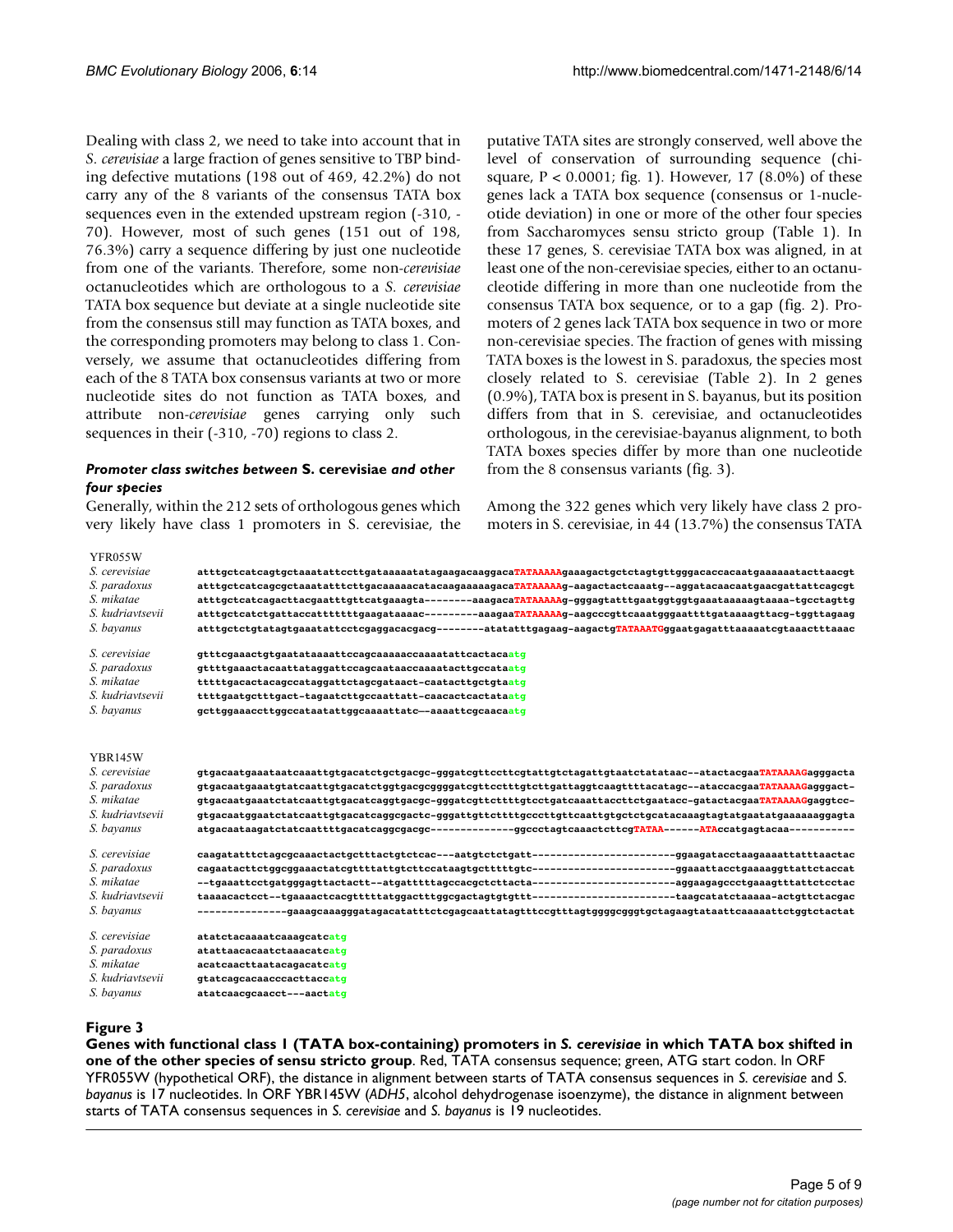Dealing with class 2, we need to take into account that in *S. cerevisiae* a large fraction of genes sensitive to TBP binding defective mutations (198 out of 469, 42.2%) do not carry any of the 8 variants of the consensus TATA box sequences even in the extended upstream region (-310, - 70). However, most of such genes (151 out of 198, 76.3%) carry a sequence differing by just one nucleotide from one of the variants. Therefore, some non-*cerevisiae* octanucleotides which are orthologous to a *S. cerevisiae* TATA box sequence but deviate at a single nucleotide site from the consensus still may function as TATA boxes, and the corresponding promoters may belong to class 1. Conversely, we assume that octanucleotides differing from each of the 8 TATA box consensus variants at two or more nucleotide sites do not function as TATA boxes, and attribute non-*cerevisiae* genes carrying only such sequences in their (-310, -70) regions to class 2.

## *Promoter class switches between* **S. cerevisiae** *and other four species*

Generally, within the 212 sets of orthologous genes which very likely have class 1 promoters in S. cerevisiae, the putative TATA sites are strongly conserved, well above the level of conservation of surrounding sequence (chisquare,  $P < 0.0001$ ; fig. 1). However, 17 (8.0%) of these genes lack a TATA box sequence (consensus or 1-nucleotide deviation) in one or more of the other four species from Saccharomyces sensu stricto group (Table 1). In these 17 genes, S. cerevisiae TATA box was aligned, in at least one of the non-cerevisiae species, either to an octanucleotide differing in more than one nucleotide from the consensus TATA box sequence, or to a gap (fig. 2). Promoters of 2 genes lack TATA box sequence in two or more non-cerevisiae species. The fraction of genes with missing TATA boxes is the lowest in S. paradoxus, the species most closely related to S. cerevisiae (Table 2). In 2 genes (0.9%), TATA box is present in S. bayanus, but its position differs from that in S. cerevisiae, and octanucleotides orthologous, in the cerevisiae-bayanus alignment, to both TATA boxes species differ by more than one nucleotide from the 8 consensus variants (fig. 3).

Among the 322 genes which very likely have class 2 promoters in S. cerevisiae, in 44 (13.7%) the consensus TATA

| YFR055W          |                                                                                                                |
|------------------|----------------------------------------------------------------------------------------------------------------|
| S. cerevisiae    | atttgctcatcagtgctaaatattccttgataaaaatatagaagacaaggacaTATAAAAAgaaagactgctctagtgttgggacaccacaatgaaaaaatacttaacgt |
| S. paradoxus     | atttgctcatcagcgctaaatatttcttgacaaaaacatacaagaaaaagacaTATAAAAAg-aagactactcaaatg--aggatacaacaatgaacgattattcagcgt |
| S. mikatae       | atttgctcatcagacttacgaatttgttcatgaaagta--------aaagacaTATAAAAAg-gggagtatttgaatggtggtgaaataaaaagtaaaa-tgcctagttg |
| S. kudriavtsevii | atttgctcatctgattaccatttttttgaagataaaac---------aaagaaTATAAAAAg-aagcccgttcaaatgggaattttgataaaagttacg-tggttagaag |
| S. bayanus       | atttgctctgtatagtgaaatattcctcgaggacacgacg--------atatatttgagaag-aagactgTATAAATGggaatgagatttaaaaatcgtaaactttaaac |
| S. cerevisiae    | gtttcgaaactgtgaatataaaattccagcaaaaaccaaaatattcactacaatg                                                        |
| S. paradoxus     | qttttgaaactacaattataqqattccaqcaataaccaaaatacttqccataatq                                                        |
| S. mikatae       | tttttgacactacagccataggattctagcgataact-caatacttgctgtaatg                                                        |
| S. kudriavtsevii | ttttgaatgctttgact-tagaatcttgccaattatt-caacactcactataatg                                                        |
| S. bayanus       | gcttggaaaccttggccataatattggcaaaattatc--aaaattcgcaacaatg                                                        |
|                  |                                                                                                                |
| <b>YBR145W</b>   |                                                                                                                |
| S. cerevisiae    | gtgacaatgaaataatcaaattgtgacatctgctgacgc-gggatcgttccttcgtattgtctagattgtaatctatataac--atactacgaaTATAAAAGagggacta |
| S. paradoxus     | gtgacaatgaaatgtatcaattgtgacatctggtgacgcggggatcgttcctttgtcttgattaggtcaagttttacatagc--ataccacgaaTATAAAAGagggact- |
| S. mikatae       | gtgacaatgaaatctatcaattgtgacatcaggtgacgc-gggatcgttcttttgtcctgatcaaattaccttctgaatacc-gatactacgaaTATAAAAGgaggtcc- |
| S. kudriavtsevii | gtgacaatggaatctatcaattgtgacatcaggcgactc-gggattgttcttttgcccttgttcaattgtgctctgcatacaaagtagtatgaatatgaaaaaaggagta |
| S. bayanus       |                                                                                                                |
| S. cerevisiae    |                                                                                                                |
| S. paradoxus     |                                                                                                                |
| S. mikatae       |                                                                                                                |
| S. kudriavtsevii |                                                                                                                |
| S. bayanus       | --------------gaaagcaaagggatagacatatttctcgagcaattatagtttccgtttagtggggcgggtgctagaagtataattcaaaaattctggtctactat  |
| S. cerevisiae    | atatctacaaaatcaaaqcatcatq                                                                                      |
| S. paradoxus     | atattaacacaatctaaacatcatg                                                                                      |
| S. mikatae       | acatcaacttaatacagacatcatg                                                                                      |
| S. kudriavtsevii | qtatcaqcacaacccacttaccatq                                                                                      |
| S. bayanus       | atatcaacqcaacct---aactatq                                                                                      |
|                  |                                                                                                                |

# Genes with functional class 1 (TATA box-containing) promoters in species of sensu stricto group **Figure 3** *S. cerevisiae* in which TATA box shifted in one of the other

**Genes with functional class 1 (TATA box-containing) promoters in** *S. cerevisiae* **in which TATA box shifted in one of the other species of sensu stricto group**. Red, TATA consensus sequence; green, ATG start codon. In ORF YFR055W (hypothetical ORF), the distance in alignment between starts of TATA consensus sequences in *S. cerevisiae* and *S. bayanus* is 17 nucleotides. In ORF YBR145W (*ADH5*, alcohol dehydrogenase isoenzyme), the distance in alignment between starts of TATA consensus sequences in *S. cerevisiae* and *S. bayanus* is 19 nucleotides.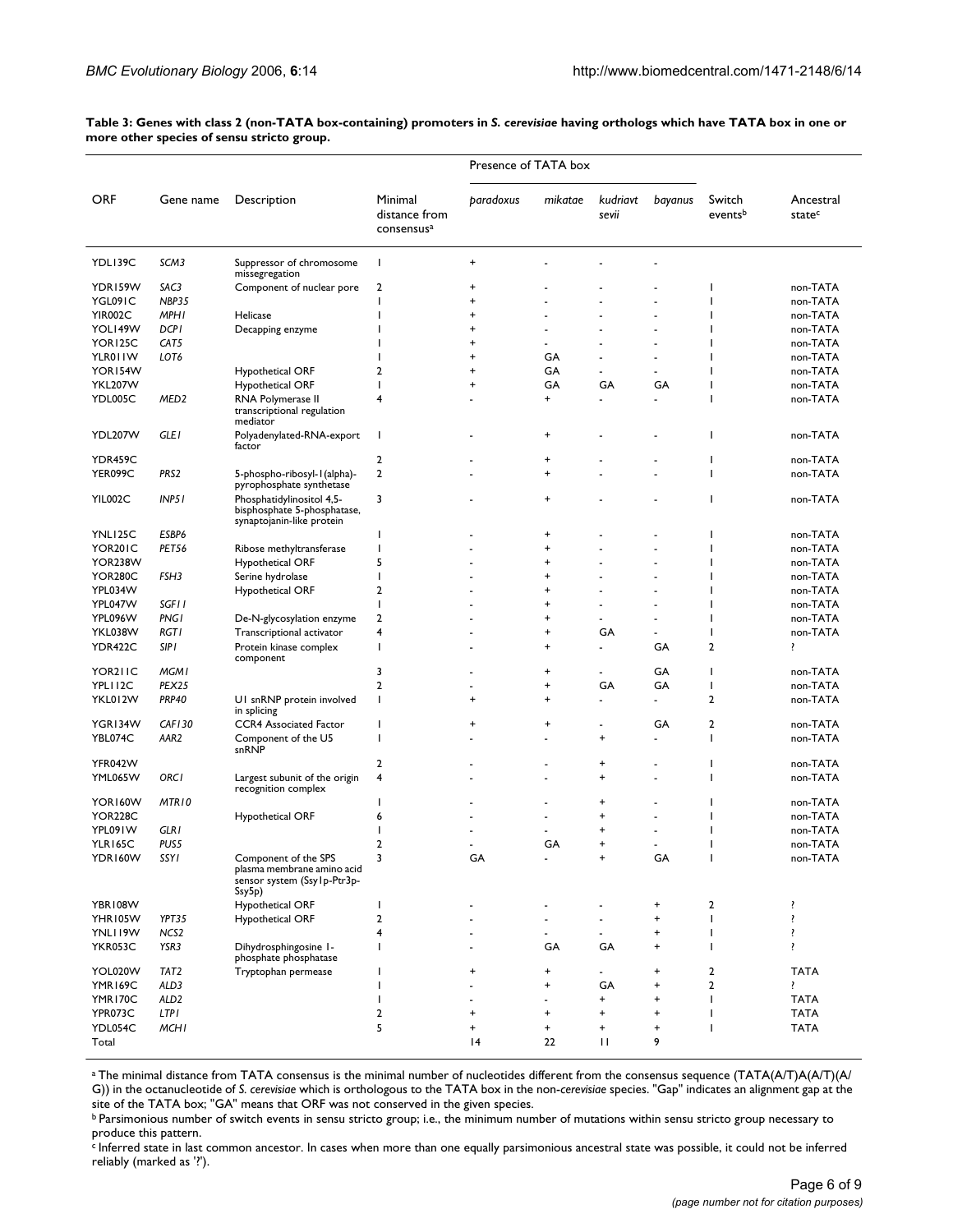|                           |                      |                                                                                       |                                                    | Presence of TATA box |                                  |                   |           |                   |                      |
|---------------------------|----------------------|---------------------------------------------------------------------------------------|----------------------------------------------------|----------------------|----------------------------------|-------------------|-----------|-------------------|----------------------|
| <b>ORF</b>                | Gene name            | Description                                                                           | Minimal<br>distance from<br>consensus <sup>a</sup> | paradoxus            | mikatae                          | kudriavt<br>sevii | bayanus   | Switch<br>eventsb | Ancestral<br>statec  |
| YDLI39C                   | SCM3                 | Suppressor of chromosome<br>missegregation                                            | J.                                                 | $\ddot{}$            |                                  |                   |           |                   |                      |
| YDR159W                   | SAC3                 | Component of nuclear pore                                                             | $\overline{2}$                                     | $\ddot{}$            |                                  |                   |           |                   | non-TATA             |
| YGL091C                   | <b>NBP35</b>         |                                                                                       | I                                                  | $\ddot{}$            |                                  |                   |           |                   | non-TATA             |
| <b>YIR002C</b>            | <b>MPHI</b>          | Helicase                                                                              |                                                    | $\ddot{}$            |                                  |                   |           |                   | non-TATA             |
| YOL149W                   | <b>DCPI</b>          | Decapping enzyme                                                                      |                                                    | +                    |                                  |                   |           |                   | non-TATA             |
| YOR125C                   | CAT5                 |                                                                                       |                                                    | $\ddot{}$            |                                  |                   |           |                   | non-TATA             |
| YLR01IW                   | LOT6                 |                                                                                       |                                                    | $\ddot{}$            | GA                               |                   | ٠         |                   | non-TATA             |
| YOR154W                   |                      | <b>Hypothetical ORF</b>                                                               | 2                                                  | $\ddot{}$            | GA                               |                   | ÷.        |                   | non-TATA             |
| <b>YKL207W</b>            |                      | <b>Hypothetical ORF</b>                                                               | I                                                  | $\ddot{}$            | GA                               | GA                | GA        |                   | non-TATA             |
| YDL005C                   | MED <sub>2</sub>     | RNA Polymerase II<br>transcriptional regulation<br>mediator                           | 4                                                  |                      | $\ddot{}$                        |                   | ä,        |                   | non-TATA             |
| YDL207W                   | <b>GLE1</b>          | Polyadenylated-RNA-export<br>factor                                                   | I.                                                 |                      | $\ddot{}$                        |                   | ٠         |                   | non-TATA             |
| YDR459C                   |                      |                                                                                       | $\overline{2}$                                     |                      | $\ddot{}$                        |                   |           |                   | non-TATA             |
| YER099C                   | PRS <sub>2</sub>     | 5-phospho-ribosyl-1(alpha)-<br>pyrophosphate synthetase                               | $\mathbf 2$                                        |                      | $\ddot{}$                        |                   |           |                   | non-TATA             |
| YIL002C                   | INPSI                | Phosphatidylinositol 4,5-<br>bisphosphate 5-phosphatase,<br>synaptojanin-like protein | 3                                                  |                      | $\ddot{}$                        |                   |           |                   | non-TATA             |
| YNLI <sub>25</sub> C      | ESBP6                |                                                                                       | ı                                                  |                      | +                                |                   |           |                   | non-TATA             |
| YOR201C                   | PET56                | Ribose methyltransferase                                                              | ı                                                  |                      | $\ddot{}$                        |                   |           |                   | non-TATA             |
| YOR238W                   |                      | <b>Hypothetical ORF</b>                                                               | 5                                                  |                      | $\ddot{}$                        |                   | ä,        |                   | non-TATA             |
| <b>YOR280C</b>            | FSH3                 | Serine hydrolase                                                                      | $\overline{\phantom{a}}$                           |                      | $\ddot{}$                        |                   |           |                   | non-TATA             |
| YPL034W                   |                      | <b>Hypothetical ORF</b>                                                               | $\mathbf 2$                                        |                      | $\ddot{}$                        |                   | ä,        |                   | non-TATA             |
| YPL047W                   | SGF11                |                                                                                       | $\overline{\phantom{a}}$                           |                      | $\ddot{}$                        |                   | ٠         |                   | non-TATA             |
| YPL096W                   | <b>PNG1</b>          | De-N-glycosylation enzyme                                                             | $\overline{2}$                                     |                      | $\ddot{}$                        |                   | ä,        |                   | non-TATA             |
| YKL038W                   | <b>RGTI</b>          | Transcriptional activator                                                             | 4                                                  |                      | $\ddot{}$                        | GA                | ä,        |                   | non-TATA             |
| YDR422C                   | <b>SIPI</b>          | Protein kinase complex<br>component                                                   | I.                                                 |                      | $\ddot{}$                        |                   | GA        | 2                 | ŗ                    |
| YOR211C                   | <b>MGMI</b>          |                                                                                       | 3                                                  |                      | $\ddot{}$                        |                   | GA        | <sup>1</sup>      | non-TATA             |
| YPLI12C                   | PEX25                |                                                                                       | $\overline{2}$                                     | $\blacksquare$       | +                                | GA                | GA        | I                 | non-TATA             |
| YKL012W                   | <b>PRP40</b>         | UI snRNP protein involved<br>in splicing                                              | J.                                                 | +                    | +                                |                   | ä,        | 2                 | non-TATA             |
| YGR134W                   | <b>CAF130</b>        | <b>CCR4</b> Associated Factor                                                         | ı                                                  | $\ddot{}$            | $\ddot{}$                        | ٠                 | GA        | 2                 | non-TATA             |
| YBL074C                   | AAR <sub>2</sub>     | Component of the U5<br>snRNP                                                          | ı                                                  |                      |                                  | $\ddot{}$         | ٠         | ı                 | non-TATA             |
| YFR042W                   |                      |                                                                                       | $\overline{2}$                                     |                      |                                  | +                 |           |                   | non-TATA             |
| YML065W                   | <b>ORCI</b><br>MTR10 | Largest subunit of the origin<br>recognition complex                                  | $\overline{4}$<br>I                                |                      |                                  | $\ddot{}$         |           |                   | non-TATA             |
| YOR160W                   |                      |                                                                                       |                                                    |                      |                                  | +                 |           |                   | non-TATA             |
| <b>YOR228C</b><br>YPL091W | <b>GLR1</b>          | <b>Hypothetical ORF</b>                                                               | 6<br>ı                                             |                      |                                  | +<br>+            | ä,        |                   | non-TATA<br>non-TATA |
|                           | PUS5                 |                                                                                       | $\overline{2}$                                     |                      | GA                               | ٠                 |           |                   | non-TATA             |
| YLR165C<br>YDR160W        | SSYI                 | Component of the SPS                                                                  | 3                                                  | GA                   |                                  | +                 | GA        | T                 | non-TATA             |
|                           |                      | plasma membrane amino acid<br>sensor system (Ssylp-Ptr3p-<br>Ssy5p)                   |                                                    |                      |                                  |                   |           |                   |                      |
| <b>YBR108W</b>            |                      | Hypothetical ORF                                                                      | I.                                                 |                      |                                  |                   | +         | $\overline{2}$    | ï                    |
| YHR105W                   | YPT35                | Hypothetical ORF                                                                      | $\overline{2}$                                     | ä,                   |                                  | ä,                | $\ddot{}$ | $\overline{1}$    | ì                    |
| YNLI19W                   | NCS <sub>2</sub>     |                                                                                       | $\overline{4}$                                     |                      |                                  |                   | $\ddot{}$ | T                 | ï                    |
| YKR053C                   | YSR3                 | Dihydrosphingosine I-<br>phosphate phosphatase                                        | $\overline{1}$                                     |                      | GA                               | GA                | $\ddot{}$ | T                 | ï                    |
| YOL020W                   | TAT <sub>2</sub>     | Tryptophan permease                                                                   |                                                    | $\ddot{}$            | +                                | ٠                 | $\pmb{+}$ | 2                 | <b>TATA</b>          |
| YMR169C                   | ALD3                 |                                                                                       | ı                                                  | ٠                    | $\ddot{}$                        | GA                | $\ddot{}$ | 2                 | ŗ                    |
| YMR170C                   | ALD <sub>2</sub>     |                                                                                       | I                                                  |                      | $\overline{a}$                   | $\ddot{}$         | $\ddot{}$ | T                 | <b>TATA</b>          |
| YPR073C                   | <b>LTPI</b>          |                                                                                       | $\overline{2}$                                     | $\ddot{}$            | $\ddot{}$                        | $\ddot{}$         | $\ddot{}$ |                   | <b>TATA</b>          |
| YDL054C                   | <b>MCHI</b>          |                                                                                       | 5                                                  | $\ddot{}$            | $\begin{array}{c} + \end{array}$ | $\ddot{}$         | $\ddot{}$ |                   | <b>TATA</b>          |
| Total                     |                      |                                                                                       |                                                    | 4                    | 22                               | П                 | 9         |                   |                      |

Table 3: Genes with class 2 (non-TATA box-containing) promoters in *S. cerevisiae* having orthologs which have TATA box in one or **more other species of sensu stricto group.**

a The minimal distance from TATA consensus is the minimal number of nucleotides different from the consensus sequence (TATA(A/T)A(A/T)(A/ G)) in the octanucleotide of *S. cerevisiae* which is orthologous to the TATA box in the non-*cerevisiae* species. "Gap" indicates an alignment gap at the site of the TATA box; "GA" means that ORF was not conserved in the given species.

b Parsimonious number of switch events in sensu stricto group; i.e., the minimum number of mutations within sensu stricto group necessary to produce this pattern.

c Inferred state in last common ancestor. In cases when more than one equally parsimonious ancestral state was possible, it could not be inferred reliably (marked as '?').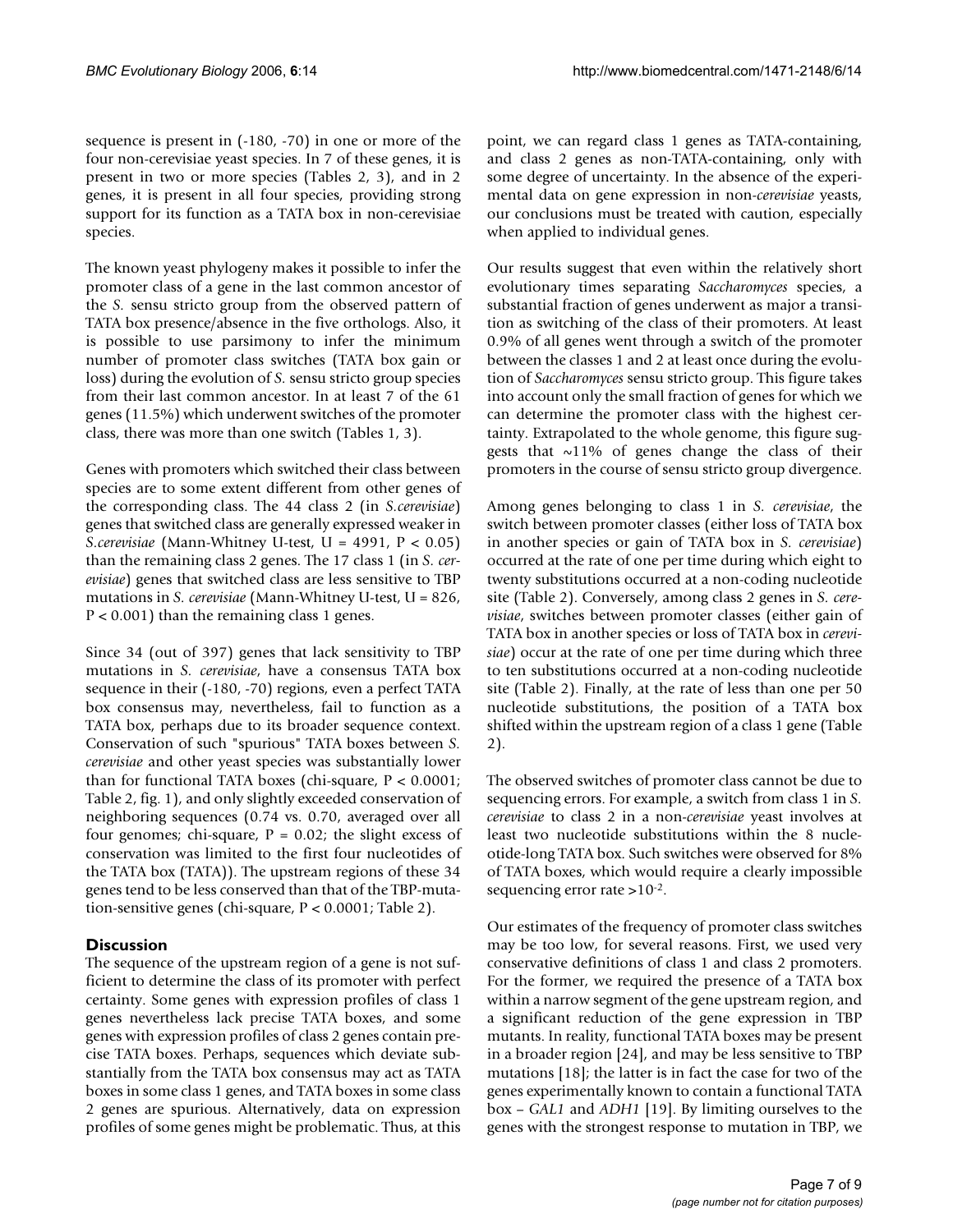sequence is present in (-180, -70) in one or more of the four non-cerevisiae yeast species. In 7 of these genes, it is present in two or more species (Tables 2, 3), and in 2 genes, it is present in all four species, providing strong support for its function as a TATA box in non-cerevisiae species.

The known yeast phylogeny makes it possible to infer the promoter class of a gene in the last common ancestor of the *S.* sensu stricto group from the observed pattern of TATA box presence/absence in the five orthologs. Also, it is possible to use parsimony to infer the minimum number of promoter class switches (TATA box gain or loss) during the evolution of *S.* sensu stricto group species from their last common ancestor. In at least 7 of the 61 genes (11.5%) which underwent switches of the promoter class, there was more than one switch (Tables 1, 3).

Genes with promoters which switched their class between species are to some extent different from other genes of the corresponding class. The 44 class 2 (in *S.cerevisiae*) genes that switched class are generally expressed weaker in *S.cerevisiae* (Mann-Whitney U-test, U = 4991, P < 0.05) than the remaining class 2 genes. The 17 class 1 (in *S. cerevisiae*) genes that switched class are less sensitive to TBP mutations in *S. cerevisiae* (Mann-Whitney U-test, U = 826, P < 0.001) than the remaining class 1 genes.

Since 34 (out of 397) genes that lack sensitivity to TBP mutations in *S. cerevisiae*, have a consensus TATA box sequence in their (-180, -70) regions, even a perfect TATA box consensus may, nevertheless, fail to function as a TATA box, perhaps due to its broader sequence context. Conservation of such "spurious" TATA boxes between *S. cerevisiae* and other yeast species was substantially lower than for functional TATA boxes (chi-square,  $P < 0.0001$ ; Table 2, fig. 1), and only slightly exceeded conservation of neighboring sequences (0.74 vs. 0.70, averaged over all four genomes; chi-square,  $P = 0.02$ ; the slight excess of conservation was limited to the first four nucleotides of the TATA box (TATA)). The upstream regions of these 34 genes tend to be less conserved than that of the TBP-mutation-sensitive genes (chi-square, P < 0.0001; Table 2).

# **Discussion**

The sequence of the upstream region of a gene is not sufficient to determine the class of its promoter with perfect certainty. Some genes with expression profiles of class 1 genes nevertheless lack precise TATA boxes, and some genes with expression profiles of class 2 genes contain precise TATA boxes. Perhaps, sequences which deviate substantially from the TATA box consensus may act as TATA boxes in some class 1 genes, and TATA boxes in some class 2 genes are spurious. Alternatively, data on expression profiles of some genes might be problematic. Thus, at this point, we can regard class 1 genes as TATA-containing, and class 2 genes as non-TATA-containing, only with some degree of uncertainty. In the absence of the experimental data on gene expression in non-*cerevisiae* yeasts, our conclusions must be treated with caution, especially when applied to individual genes.

Our results suggest that even within the relatively short evolutionary times separating *Saccharomyces* species, a substantial fraction of genes underwent as major a transition as switching of the class of their promoters. At least 0.9% of all genes went through a switch of the promoter between the classes 1 and 2 at least once during the evolution of *Saccharomyces* sensu stricto group. This figure takes into account only the small fraction of genes for which we can determine the promoter class with the highest certainty. Extrapolated to the whole genome, this figure suggests that  $\sim$ 11% of genes change the class of their promoters in the course of sensu stricto group divergence.

Among genes belonging to class 1 in *S. cerevisiae*, the switch between promoter classes (either loss of TATA box in another species or gain of TATA box in *S. cerevisiae*) occurred at the rate of one per time during which eight to twenty substitutions occurred at a non-coding nucleotide site (Table 2). Conversely, among class 2 genes in *S. cerevisiae*, switches between promoter classes (either gain of TATA box in another species or loss of TATA box in *cerevisiae*) occur at the rate of one per time during which three to ten substitutions occurred at a non-coding nucleotide site (Table 2). Finally, at the rate of less than one per 50 nucleotide substitutions, the position of a TATA box shifted within the upstream region of a class 1 gene (Table 2).

The observed switches of promoter class cannot be due to sequencing errors. For example, a switch from class 1 in *S. cerevisiae* to class 2 in a non-*cerevisiae* yeast involves at least two nucleotide substitutions within the 8 nucleotide-long TATA box. Such switches were observed for 8% of TATA boxes, which would require a clearly impossible sequencing error rate >10-2.

Our estimates of the frequency of promoter class switches may be too low, for several reasons. First, we used very conservative definitions of class 1 and class 2 promoters. For the former, we required the presence of a TATA box within a narrow segment of the gene upstream region, and a significant reduction of the gene expression in TBP mutants. In reality, functional TATA boxes may be present in a broader region [24], and may be less sensitive to TBP mutations [18]; the latter is in fact the case for two of the genes experimentally known to contain a functional TATA box – *GAL1* and *ADH1* [19]. By limiting ourselves to the genes with the strongest response to mutation in TBP, we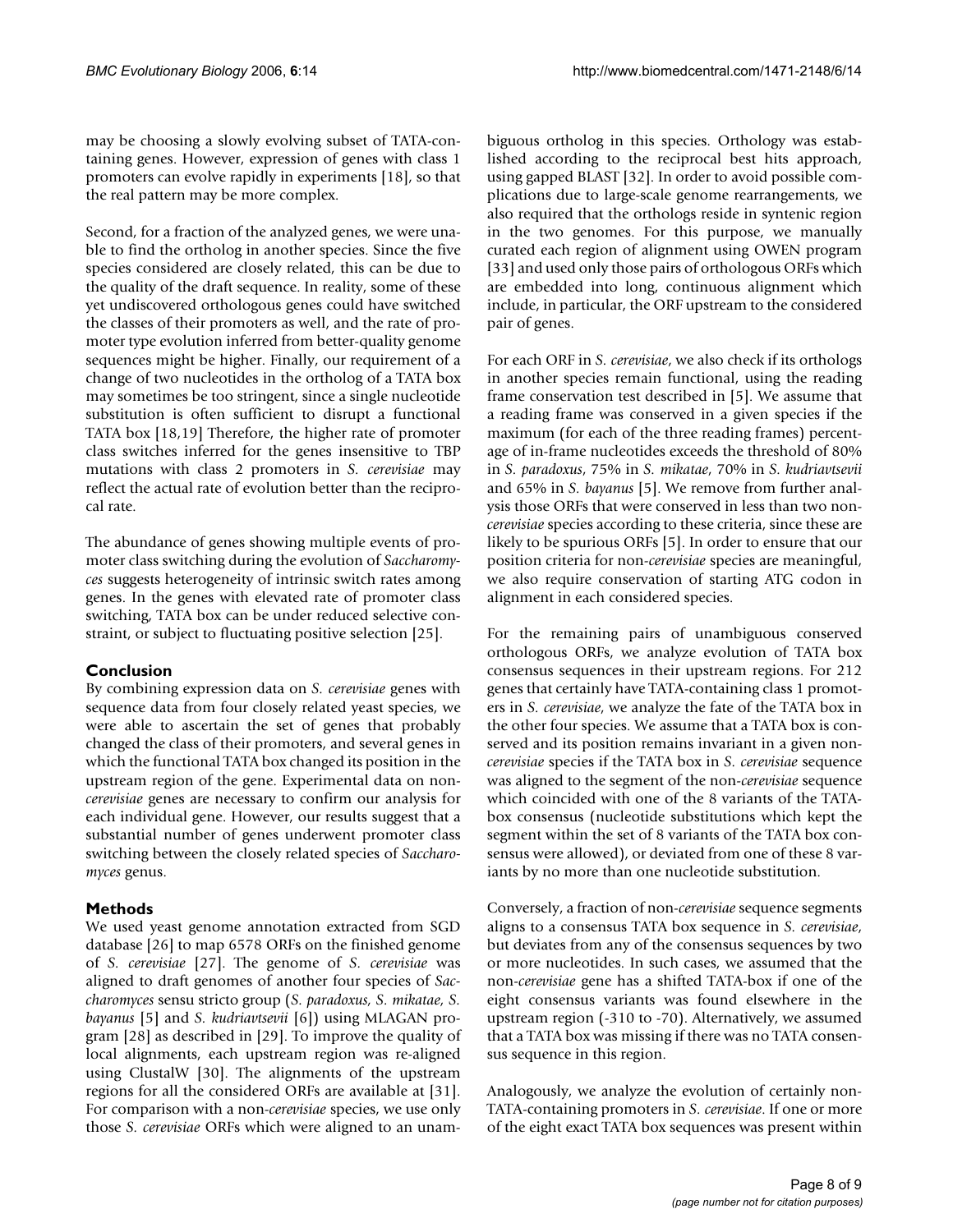may be choosing a slowly evolving subset of TATA-containing genes. However, expression of genes with class 1 promoters can evolve rapidly in experiments [18], so that the real pattern may be more complex.

Second, for a fraction of the analyzed genes, we were unable to find the ortholog in another species. Since the five species considered are closely related, this can be due to the quality of the draft sequence. In reality, some of these yet undiscovered orthologous genes could have switched the classes of their promoters as well, and the rate of promoter type evolution inferred from better-quality genome sequences might be higher. Finally, our requirement of a change of two nucleotides in the ortholog of a TATA box may sometimes be too stringent, since a single nucleotide substitution is often sufficient to disrupt a functional TATA box [18,19] Therefore, the higher rate of promoter class switches inferred for the genes insensitive to TBP mutations with class 2 promoters in *S. cerevisiae* may reflect the actual rate of evolution better than the reciprocal rate.

The abundance of genes showing multiple events of promoter class switching during the evolution of *Saccharomyces* suggests heterogeneity of intrinsic switch rates among genes. In the genes with elevated rate of promoter class switching, TATA box can be under reduced selective constraint, or subject to fluctuating positive selection [25].

# **Conclusion**

By combining expression data on *S. cerevisiae* genes with sequence data from four closely related yeast species, we were able to ascertain the set of genes that probably changed the class of their promoters, and several genes in which the functional TATA box changed its position in the upstream region of the gene. Experimental data on non*cerevisiae* genes are necessary to confirm our analysis for each individual gene. However, our results suggest that a substantial number of genes underwent promoter class switching between the closely related species of *Saccharomyces* genus.

# **Methods**

We used yeast genome annotation extracted from SGD database [26] to map 6578 ORFs on the finished genome of *S. cerevisiae* [27]. The genome of *S. cerevisiae* was aligned to draft genomes of another four species of *Saccharomyces* sensu stricto group (*S. paradoxus, S. mikatae, S. bayanus* [5] and *S. kudriavtsevii* [6]) using MLAGAN program [28] as described in [29]. To improve the quality of local alignments, each upstream region was re-aligned using ClustalW [30]. The alignments of the upstream regions for all the considered ORFs are available at [31]. For comparison with a non-*cerevisiae* species, we use only those *S. cerevisiae* ORFs which were aligned to an unambiguous ortholog in this species. Orthology was established according to the reciprocal best hits approach, using gapped BLAST [32]. In order to avoid possible complications due to large-scale genome rearrangements, we also required that the orthologs reside in syntenic region in the two genomes. For this purpose, we manually curated each region of alignment using OWEN program [33] and used only those pairs of orthologous ORFs which are embedded into long, continuous alignment which include, in particular, the ORF upstream to the considered pair of genes.

For each ORF in *S. cerevisiae*, we also check if its orthologs in another species remain functional, using the reading frame conservation test described in [5]. We assume that a reading frame was conserved in a given species if the maximum (for each of the three reading frames) percentage of in-frame nucleotides exceeds the threshold of 80% in *S. paradoxus*, 75% in *S. mikatae*, 70% in *S. kudriavtsevii* and 65% in *S. bayanus* [5]. We remove from further analysis those ORFs that were conserved in less than two non*cerevisiae* species according to these criteria, since these are likely to be spurious ORFs [5]. In order to ensure that our position criteria for non-*cerevisiae* species are meaningful, we also require conservation of starting ATG codon in alignment in each considered species.

For the remaining pairs of unambiguous conserved orthologous ORFs, we analyze evolution of TATA box consensus sequences in their upstream regions. For 212 genes that certainly have TATA-containing class 1 promoters in *S. cerevisiae*, we analyze the fate of the TATA box in the other four species. We assume that a TATA box is conserved and its position remains invariant in a given non*cerevisiae* species if the TATA box in *S. cerevisiae* sequence was aligned to the segment of the non-*cerevisiae* sequence which coincided with one of the 8 variants of the TATAbox consensus (nucleotide substitutions which kept the segment within the set of 8 variants of the TATA box consensus were allowed), or deviated from one of these 8 variants by no more than one nucleotide substitution.

Conversely, a fraction of non-*cerevisiae* sequence segments aligns to a consensus TATA box sequence in *S. cerevisiae*, but deviates from any of the consensus sequences by two or more nucleotides. In such cases, we assumed that the non-*cerevisiae* gene has a shifted TATA-box if one of the eight consensus variants was found elsewhere in the upstream region (-310 to -70). Alternatively, we assumed that a TATA box was missing if there was no TATA consensus sequence in this region.

Analogously, we analyze the evolution of certainly non-TATA-containing promoters in *S. cerevisiae*. If one or more of the eight exact TATA box sequences was present within